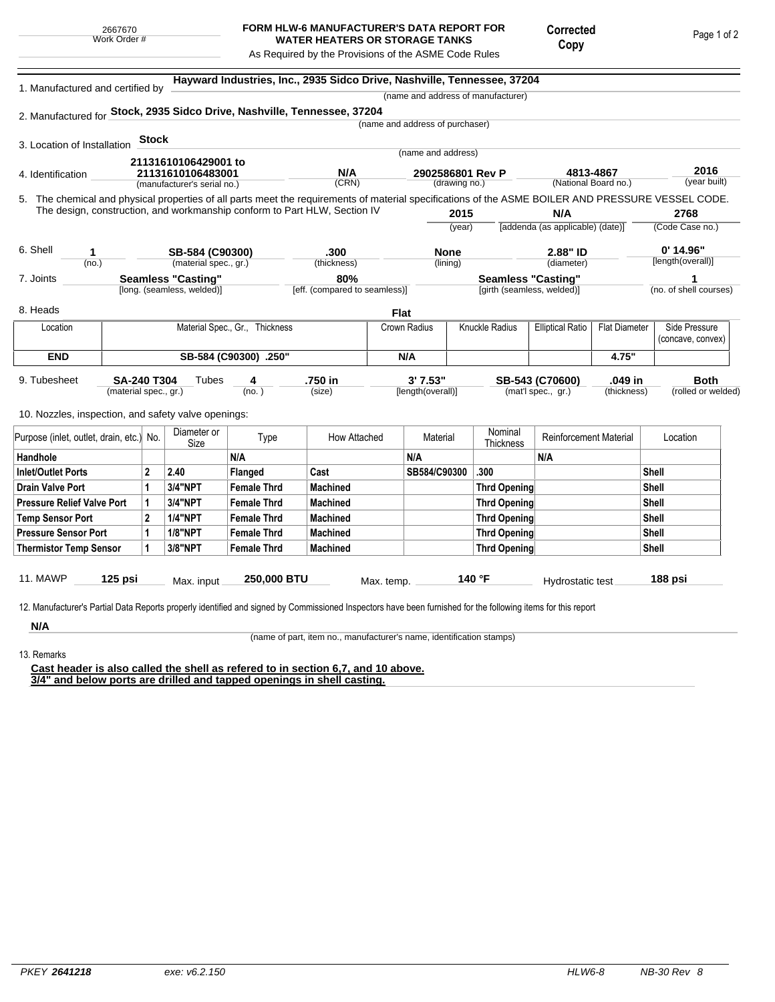## **FORM HLW-6 MANUFACTURER'S DATA REPORT FOR WATER HEATERS OR STORAGE TANKS**

Corrected Copy

As Required by the Provisions of the ASME Code Rules

5. (year built) **Hayward Industries, Inc., 2935 Sidco Drive, Nashville, Tennessee, 37204** 1. Manufactured and certified by 2. Manufactured for **Stock, 2935 Sidco Drive, Nashville, Tennessee, 37204** 3. Location of Installation 4. Identification (manufacturer's serial no.) (CRN) (drawing no.) (National Board no.) 11. MAWP **125 psi** Max. input **250,000 BTU** Max. temp. **140 °F** Hydrostatic test **188 psi** (material spec., gr.) 9. Tubesheet 10. Nozzles, inspection, and safety valve openings: **Stock** The chemical and physical properties of all parts meet the requirements of material specifications of the ASME BOILER AND PRESSURE VESSEL CODE. The design, construction, and workmanship conform to Part HLW, Section IV **2015** (year) (no.) (material spec., gr.) (thickness) 6. Shell 7. Joints 8. Heads [long. (seamless, welded)] [eff. (compared to seamless)] [girth (seamless, welded)] (no. of shell courses) **N/A** [addenda (as applicable) (date)] **2768** (Code Case no.) **2.88" ID**  $\qquad \qquad 0'$  **14.96"** (diameter) (name and address of manufacturer) (name and address of purchaser) (name and address) (lining)  $(no. )$ **Tubes** (size) [length(overall)] (mat'l spec., gr.) (thickness) (rolled or welded) **4813-4867 2016 21131610106429001 to 21131610106483001 N/A 2902586801 Rev P 1 SB-584 (C90300) .300 None 2.88" ID 0' 14.96" Seamless "Casting" 80% Seamless "Casting" 1 SA-240 T304 4 .750 in 3' 7.53" SB-543 (C70600) .049 in Both Flat** Location | Material Spec., Gr., Thickness | Crown Radius | Knuckle Radius | Elliptical Ratio | Flat Diameter | Side Pressure (concave, convex) **END SB-584 (C90300) .250" N/A 4.75"** Purpose (inlet, outlet, drain, etc.) No.  $\begin{array}{|c|c|} \hline \text{Diameter or } \\ \text{Size} \end{array}$ meter or **Type** How Attached Material Nominal<br>Size Thicknes Nominal Reinforcement Material Location Handhole N/A N/A N/A Inlet/Outlet Ports 2 2.40 Flanged Cast SB584/C90300 .300 Shell Drain Valve Port |1 |3/4"NPT |Female Thrd |Machined |Thrd Opening |Shell Pressure Relief Valve Port | 1 | 3/4"NPT | Female Thrd | Machined | Thrd Opening | Thrd Opening | Shell Temp Sensor Port |2 |1/4"NPT | Female Thrd | Machined | Shell Pressure Sensor Port | 1 | 1/8"NPT | Female Thrd | Machined | Thrd Opening | Thrd Opening | Shell Thermistor Temp Sensor | 1 | 3/8"NPT | Female Thrd | Machined Three Three Thrd Opening | Thrd Opening | Shell

12. Manufacturer's Partial Data Reports properly identified and signed by Commissioned Inspectors have been furnished for the following items for this report

**N/A** 13. Remarks

(name of part, item no., manufacturer's name, identification stamps)

**Cast header is also called the shell as refered to in section 6,7, and 10 above. 3/4" and below ports are drilled and tapped openings in shell casting.**